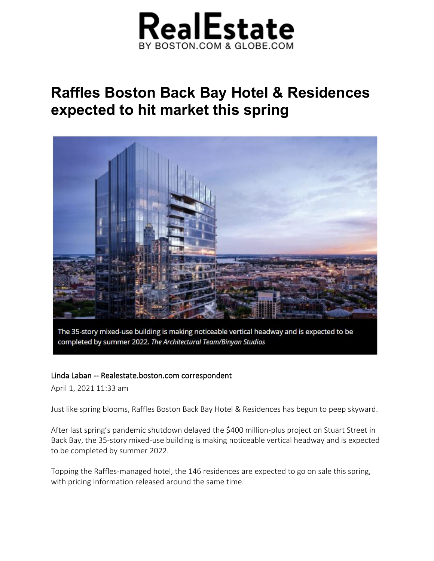

## **Raffles Boston Back Bay Hotel & Residences expected to hit market this spring**



The 35-story mixed-use building is making noticeable vertical headway and is expected to be completed by summer 2022. The Architectural Team/Binyan Studios

## Linda Laban -- Realestate.boston.com correspondent

April 1, 2021 11:33 am

Just like spring blooms, Raffles Boston Back Bay Hotel & Residences has begun to peep skyward.

After last spring's pandemic shutdown delayed the \$400 million-plus project on Stuart Street in Back Bay, the 35-story mixed-use building is making noticeable vertical headway and is expected to be completed by summer 2022.

Topping the Raffles-managed hotel, the 146 residences are expected to go on sale this spring, with pricing information released around the same time.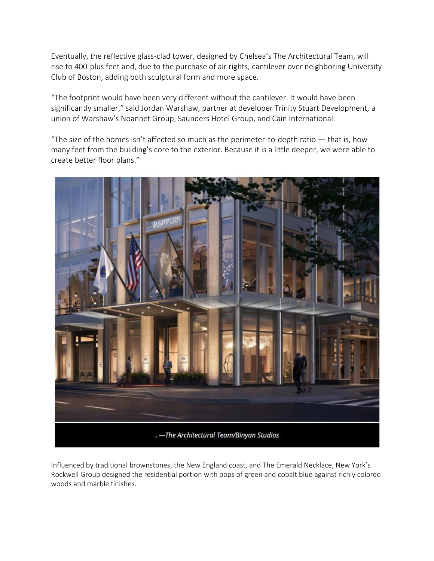Eventually, the reflective glass-clad tower, designed by Chelsea's The Architectural Team, will rise to 400-plus feet and, due to the purchase of air rights, cantilever over neighboring University Club of Boston, adding both sculptural form and more space.

"The footprint would have been very different without the cantilever. It would have been significantly smaller," said Jordan Warshaw, partner at developer Trinity Stuart Development, a union of Warshaw's Noannet Group, Saunders Hotel Group, and Cain International.

"The size of the homes isn't affected so much as the perimeter-to-depth ratio  $-$  that is, how many feet from the building's core to the exterior. Because it is a little deeper, we were able to create better floor plans."



Influenced by traditional brownstones, the New England coast, and The Emerald Necklace, New York's Rockwell Group designed the residential portion with pops of green and cobalt blue against richly colored woods and marble finishes.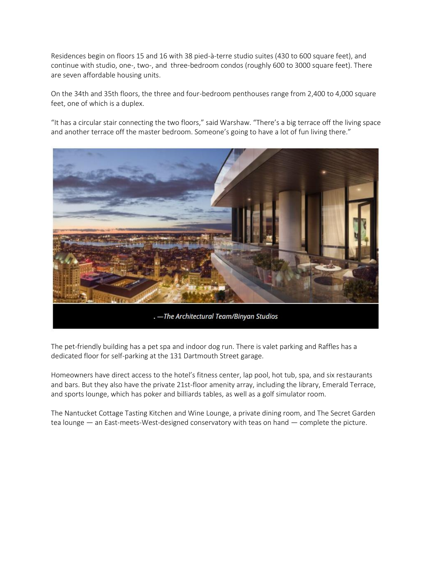Residences begin on floors 15 and 16 with 38 pied-à-terre studio suites (430 to 600 square feet), and continue with studio, one-, two-, and three-bedroom condos (roughly 600 to 3000 square feet). There are seven affordable housing units.

On the 34th and 35th floors, the three and four-bedroom penthouses range from 2,400 to 4,000 square feet, one of which is a duplex.

"It has a circular stair connecting the two floors," said Warshaw. "There's a big terrace off the living space and another terrace off the master bedroom. Someone's going to have a lot of fun living there."



The pet-friendly building has a pet spa and indoor dog run. There is valet parking and Raffles has a dedicated floor for self-parking at the 131 Dartmouth Street garage.

Homeowners have direct access to the hotel's fitness center, lap pool, hot tub, spa, and six restaurants and bars. But they also have the private 21st-floor amenity array, including the library, Emerald Terrace, and sports lounge, which has poker and billiards tables, as well as a golf simulator room.

The Nantucket Cottage Tasting Kitchen and Wine Lounge, a private dining room, and The Secret Garden tea lounge — an East-meets-West-designed conservatory with teas on hand — complete the picture.